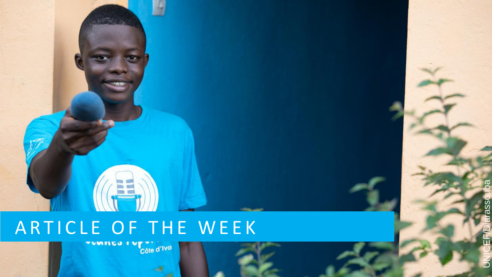# A R T I C L E O F T H E W E E K

UNICEF/Diarassoubaပ္ပိ 5

 $\overline{\mathbb{C}}$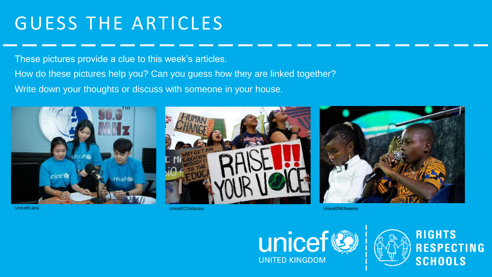# GUESS THE ARTICLES

These pictures provide a clue to this week's articles.

How do these pictures help you? Can you guess how they are linked together? Write down your thoughts or discuss with someone in your house.







Unicef/Laos Unicef/Chalasani Unicef/McIlwaine



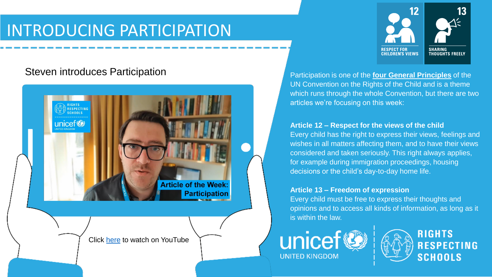### INTRODUCING PARTICIPATION

### Steven introduces Participation





Participation is one of the **[four General Principles](https://www.niccy.org/children-and-young-people/your-rights/un-report-on-children-s-rights-in-the-uk/general-principles-the-basis-of-the-uncrc/)** of the UN Convention on the Rights of the Child and is a theme which runs through the whole Convention, but there are two articles we're focusing on this week:

#### **Article 12 – Respect for the views of the child**

Every child has the right to express their views, feelings and wishes in all matters affecting them, and to have their views considered and taken seriously. This right always applies, for example during immigration proceedings, housing decisions or the child's day-to-day home life.

#### **Article 13 – Freedom of expression**

Every child must be free to express their thoughts and opinions and to access all kinds of information, as long as it is within the law.



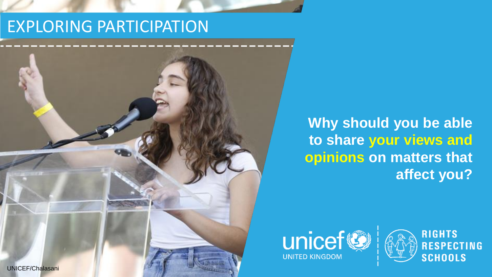### EXPLORING PARTICIPATION



**Why should you be able to share your views and opinions on matters that affect you?** 



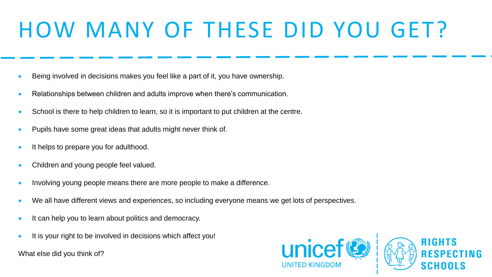# HOW MANY OF THESE DID YOU GET?

- Being involved in decisions makes you feel like a part of it, you have ownership.
- Relationships between children and adults improve when there's communication.
- School is there to help children to learn, so it is important to put children at the centre.
- Pupils have some great ideas that adults might never think of.
- It helps to prepare you for adulthood.
- Children and young people feel valued.
- Involving young people means there are more people to make a difference.
- We all have different views and experiences, so including everyone means we get lots of perspectives.
- It can help you to learn about politics and democracy.
- It is your right to be involved in decisions which affect you!

What else did you think of?

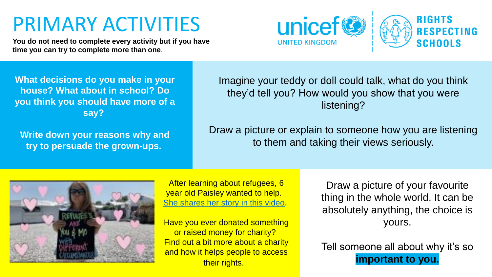# PRIMARY ACTIVITIES

**You do not need to complete every activity but if you have time you can try to complete more than one**.



**What decisions do you make in your house? What about in school? Do you think you should have more of a say?**

**Write down your reasons why and try to persuade the grown-ups.**

Imagine your teddy or doll could talk, what do you think they'd tell you? How would you show that you were listening?

Draw a picture or explain to someone how you are listening to them and taking their views seriously.



After learning about refugees, 6 year old Paisley wanted to help. [She shares her story in this video.](https://www.youtube.com/watch?v=5_BpPiMjJ4s)

Have you ever donated something or raised money for charity? Find out a bit more about a charity and how it helps people to access their rights.

Draw a picture of your favourite thing in the whole world. It can be absolutely anything, the choice is yours.

Tell someone all about why it's so **important to you.**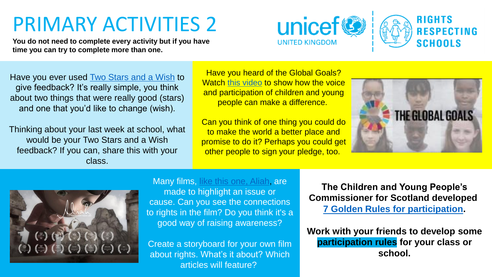# PRIMARY ACTIVITIES 2

**You do not need to complete every activity but if you have time you can try to complete more than one.** 





Have you ever used **Two Stars and a Wish to** give feedback? It's really simple, you think about two things that were really good (stars) and one that you'd like to change (wish).

Thinking about your last week at school, what would be your Two Stars and a Wish feedback? If you can, share this with your class.

Have you heard of the Global Goals? Watch [this video](https://www.youtube.com/watch?v=lOCFpsWaSrs) to show how the voice and participation of children and young people can make a difference.

Can you think of one thing you could do to make the world a better place and promise to do it? Perhaps you could get other people to sign your pledge, too.





#### Many films, [like this one, Aliah,](https://vimeo.com/40378124) are

made to highlight an issue or cause. Can you see the connections to rights in the film? Do you think it's a good way of raising awareness?

Create a storyboard for your own film about rights. What's it about? Which articles will feature?

**The Children and Young People's Commissioner for Scotland developed [7 Golden Rules for participation.](https://cypcs.org.uk/get-help/i-work-with-younger-people/golden-rules/)** 

**Work with your friends to develop some participation rules for your class or school.**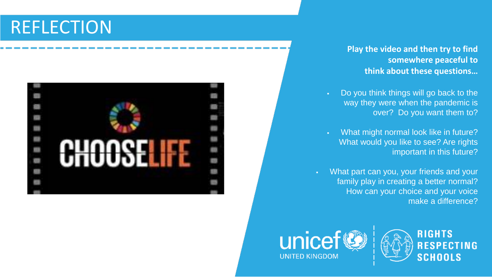## REFLECTION



#### **Play the video and then try to find somewhere peaceful to think about these questions…**

- Do you think things will go back to the way they were when the pandemic is over? Do you want them to?
- What might normal look like in future? What would you like to see? Are rights important in this future?
- What part can you, your friends and your family play in creating a better normal? How can your choice and your voice make a difference?